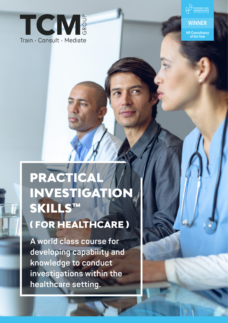



### **WINNER**

HR Consultancy of the Year

# PRACTICA INVESTIGATIO SKILLS™

# ( FOR HEALTHCARE )

**A world class course for developing capability and knowledge to conduct investigations within the healthcare setting.**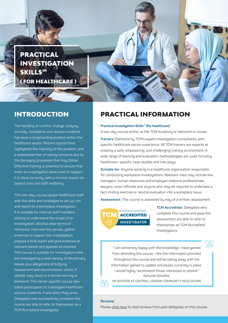

The handling of conflict, change, bullying, incivility, complaints and serious incidents has been a longstanding problem within the healthcare sector. Recent reports have highlighted the intensity of the problem, and a widespread fear of raising concerns due to the damaging processes that may follow. Effective training is essential to ensure that when an investigation does need to happen, it is done correctly, with a minimal impact on patient care and staff wellbeing.

This two-day course equips healthcare staff with the skills and strategies to set up, run and report on a workplace investigation. It is suitable for internal staff members looking to understand the scope of an investigation, develop clear terms of reference, interview the parties, gather evidence to support the investigation, prepare a final report and give evidence at relevant panels and appeals as required. This course is suitable for investigators who are investigating a wide variety of disciplinary issues plus allegations of bullying, harassment and discrimination, which, if upheld, may result in a formal warning or dismissal. This sector specific course also trains participants to investigate healthcare serious incidents, if and when they arise. Delegates who successfully complete this course are able to refer to themselves as a TCM Accredited Investigator.

### INTRODUCTION PRACTICAL INFORMATION

### **Practical Investigation Skills™ (for Healthcare)**

A two-day course online, at the TCM Academy or delivered in-house.

**Trainers:** Delivered by TCM's expert investigation consultants, with specific healthcare sector experience. All TCM trainers are experts at creating a safe, empowering, and challenging training environment. A wide range of learning and evaluation methodologies are used including healthcare- specific case studies and role-plays.

**Suitable for:** Anyone working in a healthcare organisation responsible for conducting workplace investigations. Relevant roles may include line managers, human resources and employee relations professionals, lawyers, union officials and anyone who may be required to undertake a fact-finding exercise or neutral evaluation into a workplace issue.

**Assessment:** This course is assessed by way of a written assessment.



**TCM Accredited:** Delegates who complete this course and pass the assessment are able to refer to themselves as TCM Accredited Investigators.

SS

"I am extremely happy with the knowledge I have gained from attending the course. I like the information provided throughout the course and will be taking away with me information gained to update processes currently in place. I would highly recommend those interested to attend." RANJNA VEKARIA

HR ADVISOR AT CENTRAL LONDON COMMUNITY HEALTHCAREඳු

### **Reviews:**

Please [click here](https://thetcmgroup.com/customer-testimonials/) to read reviews from past delegates on this course.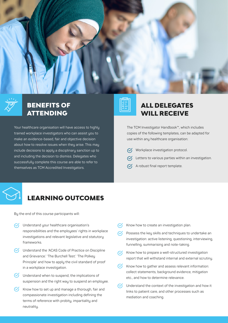

### BENEFITS OF ATTENDING

Your healthcare organisation will have access to highly trained workplace investigators who can assist you to make an evidence-based, fair and objective decision about how to resolve issues when they arise. This may include decisions to apply a disciplinary sanction up to and including the decision to dismiss. Delegates who successfully complete this course are able to refer to themselves as TCM Accredited Investigators.

## ALL DELEGATES WILL RECEIVE

The TCM Investigator Handbook™, which includes copies of the following templates, can be adapted for use within any healthcare organisation:

- $\heartsuit$  Workplace investigation protocol.
- $\heartsuit$  Letters to various parties within an investigation.
- $\mathcal{A}$  A robust final report template.

### LEARNING OUTCOMES

By the end of this course participants will:

- $\sqrt{\checkmark}$  Understand your healthcare organisation's responsibilities and the employees' rights in workplace investigations and relevant legislative and statutory frameworks.
- $\heartsuit$  Understand the 'ACAS Code of Practice on Discipline and Grievance.' 'The Burchell Test.' 'The Polkey Principle' and how to apply the civil standard of proof in a workplace investigation.
- $\bigcirc$  Understand when to suspend, the implications of suspension and the right way to suspend an employee.
- $\bigotimes$  Know how to set up and manage a thorough, fair and compassionate investigation including defining the terms of reference with probity, impartiality and neutrality.
- $\sqrt{\phantom{a}}$  Know how to create an investigation plan.
- $\heartsuit$  Possess the key skills and techniques to undertake an investigation: active listening, questioning, interviewing, funnelling, summarising and note-taking.
- $\sqrt{\phantom{a}}$  Know how to prepare a well-structured investigation report that will withstand internal and external scrutiny.
- $\bigotimes$  Know how to gather and assess relevant information: collect statements, background evidence, mitigation etc., and how to determine relevance.
- $\heartsuit$  Understand the context of the investigation and how it links to patient care, and other processes such as mediation and coaching.